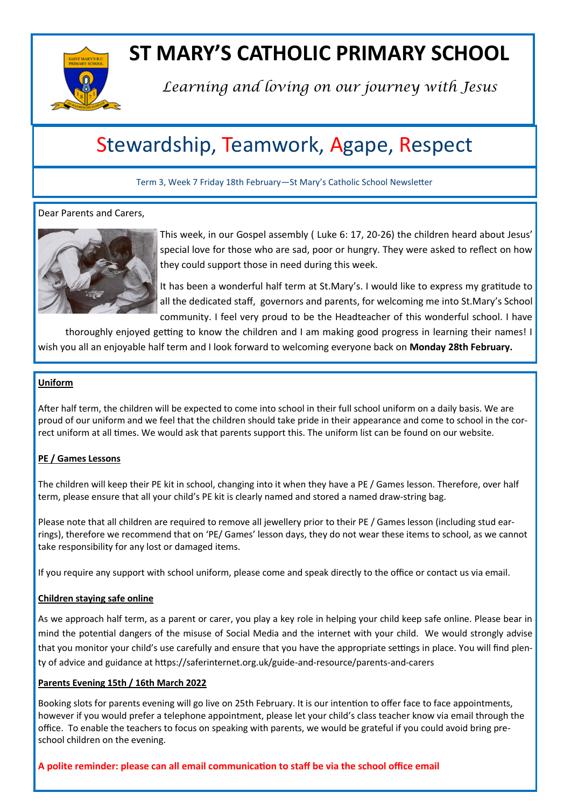

# **ST MARY'S CATHOLIC PRIMARY SCHOOL**

*Learning and loving on our journey with Jesus*

# Stewardship, Teamwork, Agape, Respect

Term 3, Week 7 Friday 18th February—St Mary's Catholic School Newsletter

# Dear Parents and Carers,



This week, in our Gospel assembly ( Luke 6: 17, 20-26) the children heard about Jesus' special love for those who are sad, poor or hungry. They were asked to reflect on how they could support those in need during this week.

It has been a wonderful half term at St.Mary's. I would like to express my gratitude to all the dedicated staff, governors and parents, for welcoming me into St.Mary's School community. I feel very proud to be the Headteacher of this wonderful school. I have

thoroughly enjoyed getting to know the children and I am making good progress in learning their names! I wish you all an enjoyable half term and I look forward to welcoming everyone back on **Monday 28th February.**

#### **Uniform**

After half term, the children will be expected to come into school in their full school uniform on a daily basis. We are proud of our uniform and we feel that the children should take pride in their appearance and come to school in the correct uniform at all times. We would ask that parents support this. The uniform list can be found on our website.

# **PE / Games Lessons**

The children will keep their PE kit in school, changing into it when they have a PE / Games lesson. Therefore, over half term, please ensure that all your child's PE kit is clearly named and stored a named draw-string bag.

Please note that all children are required to remove all jewellery prior to their PE / Games lesson (including stud earrings), therefore we recommend that on 'PE/ Games' lesson days, they do not wear these items to school, as we cannot take responsibility for any lost or damaged items.

If you require any support with school uniform, please come and speak directly to the office or contact us via email.

# **Children staying safe online**

As we approach half term, as a parent or carer, you play a key role in helping your child keep safe online. Please bear in mind the potential dangers of the misuse of Social Media and the internet with your child. We would strongly advise that you monitor your child's use carefully and ensure that you have the appropriate settings in place. You will find plenty of advice and guidance at https://saferinternet.org.uk/guide-and-resource/parents-and-carers

#### **Parents Evening 15th / 16th March 2022**

Booking slots for parents evening will go live on 25th February. It is our intention to offer face to face appointments, however if you would prefer a telephone appointment, please let your child's class teacher know via email through the office. To enable the teachers to focus on speaking with parents, we would be grateful if you could avoid bring preschool children on the evening.

**A polite reminder: please can all email communication to staff be via the school office email**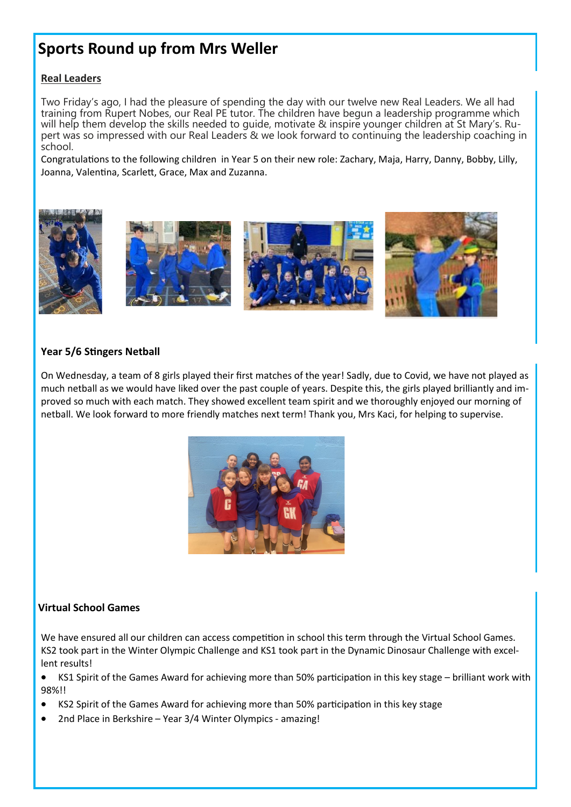# **Sports Round up from Mrs Weller**

# **Real Leaders**

Two Friday's ago, I had the pleasure of spending the day with our twelve new Real Leaders. We all had training from Rupert Nobes, our Real PE tutor. The children have begun a leadership programme which will help them develop the skills needed to guide, motivate & inspire younger children at St Mary's. Rupert was so impressed with our Real Leaders & we look forward to continuing the leadership coaching in school.

Congratulations to the following children in Year 5 on their new role: Zachary, Maja, Harry, Danny, Bobby, Lilly, Joanna, Valentina, Scarlett, Grace, Max and Zuzanna.





# **Year 5/6 Stingers Netball**

On Wednesday, a team of 8 girls played their first matches of the year! Sadly, due to Covid, we have not played as much netball as we would have liked over the past couple of years. Despite this, the girls played brilliantly and improved so much with each match. They showed excellent team spirit and we thoroughly enjoyed our morning of netball. We look forward to more friendly matches next term! Thank you, Mrs Kaci, for helping to supervise.



# **Virtual School Games**

We have ensured all our children can access competition in school this term through the Virtual School Games. KS2 took part in the Winter Olympic Challenge and KS1 took part in the Dynamic Dinosaur Challenge with excellent results!

• KS1 Spirit of the Games Award for achieving more than 50% participation in this key stage – brilliant work with 98%!!

- KS2 Spirit of the Games Award for achieving more than 50% participation in this key stage
- 2nd Place in Berkshire Year 3/4 Winter Olympics amazing!